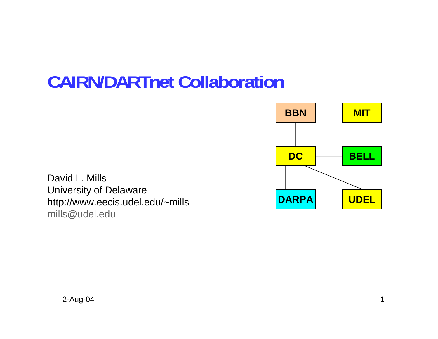## **CAIRN/DARTnet Collaboration**



David L. Mills University of Delaware http://www.eecis.udel.edu/~mills mills@udel.edu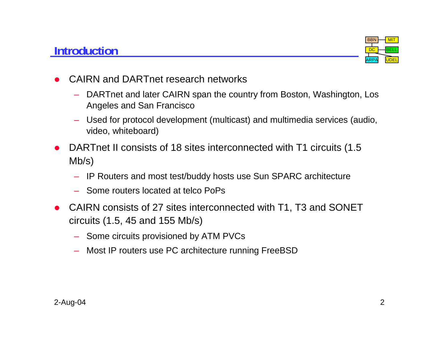## **Introduction**



- O CAIRN and DARTnet research networks
	- DARTnet and later CAIRN span the country from Boston, Washington, Los Angeles and San Francisco
	- Used for protocol development (multicast) and multimedia services (audio, video, whiteboard)
- O DARTnet II consists of 18 sites interconnected with T1 circuits (1.5 Mb/s)
	- IP Routers and most test/buddy hosts use Sun SPARC architecture
	- Some routers located at telco PoPs
- CAIRN consists of 27 sites interconnected with T1, T3 and SONET circuits (1.5, 45 and 155 Mb/s)
	- Some circuits provisioned by ATM PVCs
	- Most IP routers use PC architecture running FreeBSD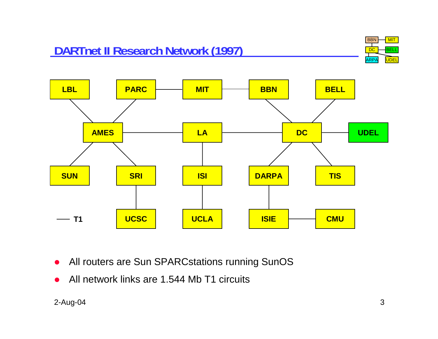



- $\bullet$ All routers are Sun SPARCstations running SunOS
- $\bullet$ All network links are 1.544 Mb T1 circuits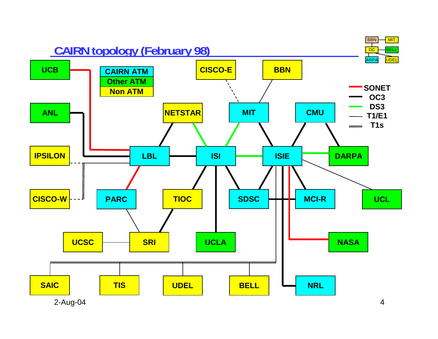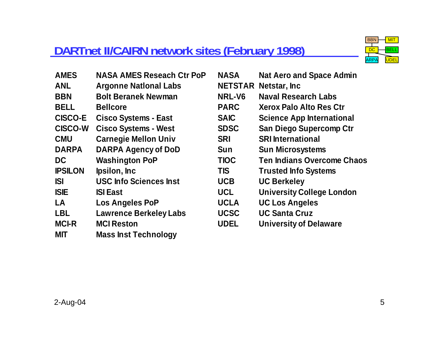## **DARTnet II/CAIRN network sites (February 1998)**



| <b>AMES</b>    | <b>NASA AMES Reseach Ctr PoP</b> | <b>NASA</b> | <b>Nat Aero and Space Admin</b>   |
|----------------|----------------------------------|-------------|-----------------------------------|
| <b>ANL</b>     | <b>Argonne National Labs</b>     |             | <b>NETSTAR Netstar, Inc.</b>      |
| <b>BBN</b>     | <b>Bolt Beranek Newman</b>       | NRL-V6      | <b>Naval Research Labs</b>        |
| <b>BELL</b>    | <b>Bellcore</b>                  | <b>PARC</b> | <b>Xerox Palo Alto Res Ctr</b>    |
| <b>CISCO-E</b> | <b>Cisco Systems - East</b>      | <b>SAIC</b> | <b>Science App International</b>  |
| <b>CISCO-W</b> | <b>Cisco Systems - West</b>      | <b>SDSC</b> | <b>San Diego Supercomp Ctr</b>    |
| <b>CMU</b>     | <b>Carnegie Mellon Univ</b>      | <b>SRI</b>  | <b>SRI International</b>          |
| <b>DARPA</b>   | <b>DARPA Agency of DoD</b>       | <b>Sun</b>  | <b>Sun Microsystems</b>           |
| <b>DC</b>      | <b>Washington PoP</b>            | <b>TIOC</b> | <b>Ten Indians Overcome Chaos</b> |
| <b>IPSILON</b> | Ipsilon, Inc.                    | <b>TIS</b>  | <b>Trusted Info Systems</b>       |
| <b>ISI</b>     | <b>USC Info Sciences Inst</b>    | <b>UCB</b>  | <b>UC Berkeley</b>                |
| <b>ISIE</b>    | <b>ISI East</b>                  | <b>UCL</b>  | <b>University College London</b>  |
| LA             | Los Angeles PoP                  | <b>UCLA</b> | <b>UC Los Angeles</b>             |
| <b>LBL</b>     | <b>Lawrence Berkeley Labs</b>    | <b>UCSC</b> | <b>UC Santa Cruz</b>              |
| <b>MCI-R</b>   | <b>MCI Reston</b>                | <b>UDEL</b> | <b>University of Delaware</b>     |
| <b>MIT</b>     | <b>Mass Inst Technology</b>      |             |                                   |

| NASA        | <b>Nat Aero and Space Admin</b>   |
|-------------|-----------------------------------|
|             | <b>NETSTAR Netstar, Inc.</b>      |
| NRL-V6      | <b>Naval Research Labs</b>        |
| <b>PARC</b> | Xerox Palo Alto Res Ctr           |
| <b>SAIC</b> | <b>Science App International</b>  |
| <b>SDSC</b> | <b>San Diego Supercomp Ctr</b>    |
| <b>SRI</b>  | <b>SRI International</b>          |
| <b>Sun</b>  | <b>Sun Microsystems</b>           |
| <b>TIOC</b> | <b>Ten Indians Overcome Chaos</b> |
| <b>TIS</b>  | <b>Trusted Info Systems</b>       |
| <b>UCB</b>  | <b>UC Berkeley</b>                |
| <b>UCL</b>  | <b>University College London</b>  |
| <b>UCLA</b> | <b>UC Los Angeles</b>             |
| <b>UCSC</b> | <b>UC Santa Cruz</b>              |
| <b>UDEL</b> | <b>University of Delaware</b>     |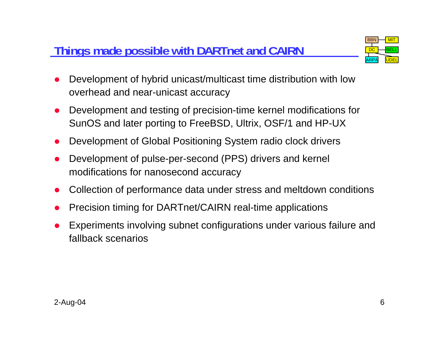## **Things made possible with DARTnet and CAIRN**



- O Development of hybrid unicast/multicast time distribution with low overhead and near-unicast accuracy
- O Development and testing of precision-time kernel modifications for SunOS and later porting to FreeBSD, Ultrix, OSF/1 and HP-UX
- O Development of Global Positioning System radio clock drivers
- O Development of pulse-per-second (PPS) drivers and kernel modifications for nanosecond accuracy
- O Collection of performance data under stress and meltdown conditions
- O Precision timing for DARTnet/CAIRN real-time applications
- O Experiments involving subnet configurations under various failure and fallback scenarios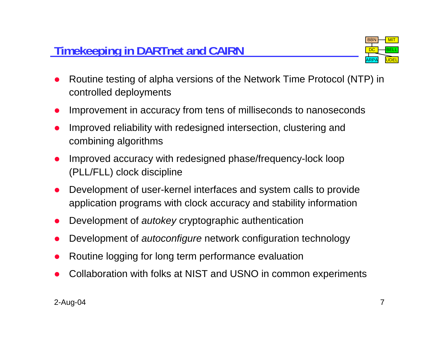

- O Routine testing of alpha versions of the Network Time Protocol (NTP) in controlled deployments
- O Improvement in accuracy from tens of milliseconds to nanoseconds
- O Improved reliability with redesigned intersection, clustering and combining algorithms
- O Improved accuracy with redesigned phase/frequency-lock loop (PLL/FLL) clock discipline
- O Development of user-kernel interfaces and system calls to provide application programs with clock accuracy and stability information
- O Development of *autokey* cryptographic authentication
- O Development of *autoconfigure* network configuration technology
- O Routine logging for long term performance evaluation
- O Collaboration with folks at NIST and USNO in common experiments